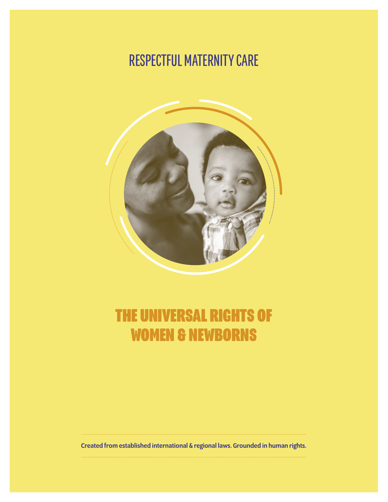# RESPECTFUL MATERNITY CARE



# THE UNIVERSAL RIGHTS OF WOMEN & NEWBORNS

Created from established international & regional laws. Grounded in human rights.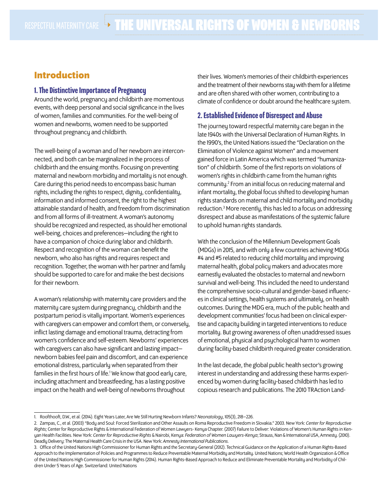# **Introduction**

# 1. The Distinctive Importance of Pregnancy

Around the world, pregnancy and childbirth are momentous events, with deep personal and social significance in the lives of women, families and communities. For the well-being of women and newborns, women need to be supported throughout pregnancy and childbirth.

The well-being of a woman and of her newborn are interconnected, and both can be marginalized in the process of childbirth and the ensuing months. Focusing on preventing maternal and newborn morbidity and mortality is not enough. Care during this period needs to encompass basic human rights, including the rights to respect, dignity, confidentiality, information and informed consent, the right to the highest attainable standard of health, and freedom from discrimination and from all forms of ill-treatment. A woman's autonomy should be recognized and respected, as should her emotional well-being, choices and preferences—including the right to have a companion of choice during labor and childbirth. Respect and recognition of the woman can benefit the newborn, who also has rights and requires respect and recognition. Together, the woman with her partner and family should be supported to care for and make the best decisions for their newborn.

A woman's relationship with maternity care providers and the maternity care system during pregnancy, childbirth and the postpartum period is vitally important. Women's experiences with caregivers can empower and comfort them, or conversely, inflict lasting damage and emotional trauma, detracting from women's confidence and self-esteem. Newborns' experiences with caregivers can also have significant and lasting impact newborn babies feel pain and discomfort, and can experience emotional distress, particularly when separated from their families in the first hours of life.<sup>1</sup> We know that good early care, including attachment and breastfeeding, has a lasting positive impact on the health and well-being of newborns throughout

their lives. Women's memories of their childbirth experiences and the treatment of their newborns stay with them for a lifetime and are often shared with other women, contributing to a climate of confidence or doubt around the healthcare system.

# 2. Established Evidence of Disrespect and Abuse

The journey toward respectful maternity care began in the late 1940s with the Universal Declaration of Human Rights. In the 1990's, the United Nations issued the "Declaration on the Elimination of Violence against Women" and a movement gained force in Latin America which was termed "humanization" of childbirth. Some of the first reports on violations of women's rights in childbirth came from the human rights community.<sup>2</sup> From an initial focus on reducing maternal and infant mortality, the global focus shifted to developing human rights standards on maternal and child mortality and morbidity reduction.<sup>3</sup> More recently, this has led to a focus on addressing disrespect and abuse as manifestations of the systemic failure to uphold human rights standards.

With the conclusion of the Millennium Development Goals (MDGs) in 2015, and with only a few countries achieving MDGs #4 and #5 related to reducing child mortality and improving maternal health, global policy makers and advocates more earnestly evaluated the obstacles to maternal and newborn survival and well-being. This included the need to understand the comprehensive socio-cultural and gender-based influences in clinical settings, health systems and ultimately, on health outcomes. During the MDG era, much of the public health and development communities' focus had been on clinical expertise and capacity building in targeted interventions to reduce mortality. But growing awareness of often unaddressed issues of emotional, physical and psychological harm to women during facility-based childbirth required greater consideration.

In the last decade, the global public health sector's growing interest in understanding and addressing these harms experienced by women during facility-based childbirth has led to copious research and publications. The 2010 TRAction Land-

<sup>1.</sup> Roofthooft, D.W., et al. (2014). Eight Years Later, Are We Still Hurting Newborn Infants? *Neonatology*, 105(3), 218–226.

<sup>2.</sup> Zampas, C., et al. (2003) "Body and Soul: Forced Sterilization and Other Assaults on Roma Reproductive Freedom in Slovakia." 2003. New York: *Center for Reproductive Rights;* Center for Reproductive Rights & International Federation of Women Lawyers- Kenya Chapter. (2007) Failure to Deliver: Violations of Women's Human Rights in Kenyan Health Facilities. New York: *Center for Reproductive Rights* & Nairobi, Kenya: *Federation of Women Lawyers-Kenya*; Strauss, Nan & International USA, Amnesty. (2010). Deadly Delivery: The Maternal Health Care Crisis in the USA. New York: *Amnesty International Publications*.

<sup>3.</sup> Office of the United Nations High Commissioner for Human Rights and the Secretary-General (2012). Technical Guidance on the Application of a Human Rights-Based Approach to the Implementation of Policies and Programmes to Reduce Preventable Maternal Morbidity and Mortality. United Nations; World Health Organization & Office of the United Nations High Commissioner for Human Rights (2014). Human Rights-Based Approach to Reduce and Eliminate Preventable Mortality and Morbidity of Children Under 5 Years of Age. Switzerland: United Nations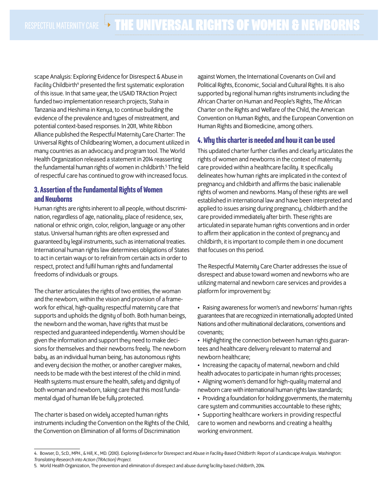scape Analysis: Exploring Evidence for Disrespect & Abuse in Facility Childbirth<sup>4</sup> presented the first systematic exploration of this issue. In that same year, the USAID TRAction Project funded two implementation research projects, Staha in Tanzania and Heshima in Kenya, to continue building the evidence of the prevalence and types of mistreatment, and potential context-based responses. In 2011, White Ribbon Alliance published the Respectful Maternity Care Charter: The Universal Rights of Childbearing Women, a document utilized in many countries as an advocacy and program tool. The World Health Organization released a statement in 2014 reasserting the fundamental human rights of women in childbirth.<sup>5</sup> The field of respectful care has continued to grow with increased focus.

# 3. Assertion of the Fundamental Rights of Women and Newborns

Human rights are rights inherent to all people, without discrimination, regardless of age, nationality, place of residence, sex, national or ethnic origin, color, religion, language or any other status. Universal human rights are often expressed and guaranteed by legal instruments, such as international treaties. International human rights law determines obligations of States to act in certain ways or to refrain from certain acts in order to respect, protect and fulfil human rights and fundamental freedoms of individuals or groups.

The charter articulates the rights of two entities, the woman and the newborn, within the vision and provision of a framework for ethical, high-quality respectful maternity care that supports and upholds the dignity of both. Both human beings, the newborn and the woman, have rights that must be respected and guaranteed independently. Women should be given the information and support they need to make decisions for themselves and their newborns freely. The newborn baby, as an individual human being, has autonomous rights and every decision the mother, or another caregiver makes, needs to be made with the best interest of the child in mind. Health systems must ensure the health, safety and dignity of both woman and newborn, taking care that this most fundamental dyad of human life be fully protected.

The charter is based on widely accepted human rights instruments including the Convention on the Rights of the Child, the Convention on Elimination of all forms of Discrimination

against Women, the International Covenants on Civil and Political Rights, Economic, Social and Cultural Rights. It is also supported by regional human rights instruments including the African Charter on Human and People's Rights, The African Charter on the Rights and Welfare of the Child, the American Convention on Human Rights, and the European Convention on Human Rights and Biomedicine, among others.

# 4. Why this charter is needed and how it can be used

This updated charter further clarifies and clearly articulates the rights of women and newborns in the context of maternity care provided within a healthcare facility. It specifically delineates how human rights are implicated in the context of pregnancy and childbirth and affirms the basic inalienable rights of women and newborns. Many of these rights are well established in international law and have been interpreted and applied to issues arising during pregnancy, childbirth and the care provided immediately after birth. These rights are articulated in separate human rights conventions and in order to affirm their application in the context of pregnancy and childbirth, it is important to compile them in one document that focuses on this period.

The Respectful Maternity Care Charter addresses the issue of disrespect and abuse toward women and newborns who are utilizing maternal and newborn care services and provides a platform for improvement by:

• Raising awareness for women's and newborns' human rights guarantees that are recognized in internationally adopted United Nations and other multinational declarations, conventions and covenants;

• Highlighting the connection between human rights guarantees and healthcare delivery relevant to maternal and newborn healthcare;

- Increasing the capacity of maternal, newborn and child health advocates to participate in human rights processes;
- Aligning women's demand for high-quality maternal and newborn care with international human rights law standards;
- Providing a foundation for holding governments, the maternity care system and communities accountable to these rights;
- Supporting healthcare workers in providing respectful care to women and newborns and creating a healthy working environment.

<sup>4.</sup> Bowser, D., ScD., MPH., & Hill, K., MD. (2010). Exploring Evidence for Disrespect and Abuse in Facility-Based Childbirth: Report of a Landscape Analysis. Washington: *Translating Research into Action (TRAction) Project.*

<sup>5.</sup> World Health Organization, The prevention and elimination of disrespect and abuse during facility-based childbirth, 2014.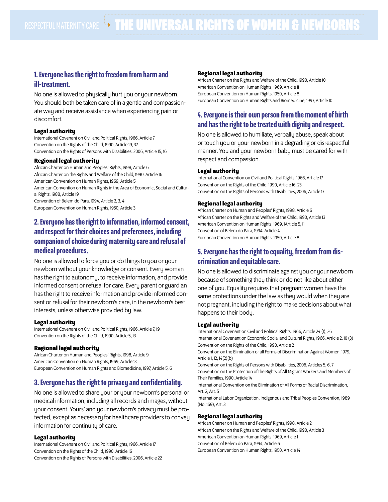# 1. Everyone has the right to freedom from harm and ill-treatment.

No one is allowed to physically hurt you or your newborn. You should both be taken care of in a gentle and compassionate way and receive assistance when experiencing pain or discomfort.

## **Legal authority**

International Covenant on Civil and Political Rights, 1966, Article 7 Convention on the Rights of the Child, 1990, Article 19, 37 Convention on the Rights of Persons with Disabilities, 2006, Article 15, 16

## **Regional legal authority**

African Charter on Human and Peoples' Rights, 1998, Article 6 African Charter on the Rights and Welfare of the Child, 1990, Article 16 American Convention on Human Rights, 1969, Article 5 American Convention on Human Rights in the Area of Economic, Social and Cultural Rights, 1988, Article 19 Convention of Belem do Para, 1994, Article 2, 3, 4 European Convention on Human Rights, 1950, Article 3

# 2. Everyone has the right to information, informed consent, and respect for their choices and preferences, including companion of choice during maternity care and refusal of medical procedures.

No one is allowed to force you or do things to you or your newborn without your knowledge or consent. Every woman has the right to autonomy, to receive information, and provide informed consent or refusal for care. Every parent or guardian has the right to receive information and provide informed consent or refusal for their newborn's care, in the newborn's best interests, unless otherwise provided by law.

#### **Legal authority**

International Covenant on Civil and Political Rights, 1966, Article 7, 19 Convention on the Rights of the Child, 1990, Article 5, 13

## **Regional legal authority**

African Charter on Human and Peoples' Rights, 1998, Article 9 American Convention on Human Rights, 1969, Article 13 European Convention on Human Rights and Biomedicine, 1997, Article 5, 6

# 3. Everyone has the right to privacy and confidentiality.

No one is allowed to share your or your newborn's personal or medical information, including all records and images, without your consent. Yours' and your newborn's privacy must be protected, except as necessary for healthcare providers to convey information for continuity of care.

#### **Legal authority**

International Covenant on Civil and Political Rights, 1966, Article 17 Convention on the Rights of the Child, 1990, Article 16 Convention on the Rights of Persons with Disabilities, 2006, Article 22

## **Regional legal authority**

African Charter on the Rights and Welfare of the Child, 1990, Article 10 American Convention on Human Rights, 1969, Article 11 European Convention on Human Rights, 1950, Article 8 European Convention on Human Rights and Biomedicine, 1997, Article 10

# 4. Everyone is their own person from the moment of birth and has the right to be treated with dignity and respect.

No one is allowed to humiliate, verbally abuse, speak about or touch you or your newborn in a degrading or disrespectful manner. You and your newborn baby must be cared for with respect and compassion.

## **Legal authority**

International Convention on Civil and Political Rights, 1966, Article 17 Convention on the Rights of the Child, 1990, Article 16, 23 Convention on the Rights of Persons with Disabilities, 2006, Article 17

## **Regional legal authority**

African Charter on Human and Peoples' Rights, 1998, Article 6 African Charter on the Rights and Welfare of the Child, 1990, Article 13 American Convention on Human Rights, 1969, 1Article 5, 11 Convention of Belem do Para, 1994, Article 4 European Convention on Human Rights, 1950, Article 8

# 5. Everyone has the right to equality, freedom from discrimination and equitable care.

No one is allowed to discriminate against you or your newborn because of something they think or do not like about either one of you. Equality requires that pregnant women have the same protections under the law as they would when they are not pregnant, including the right to make decisions about what happens to their body.

#### **Legal authority**

International Covenant on Civil and Political Rights, 1966, Article 24 (1), 26 International Covenant on Economic Social and Cultural Rights, 1966, Article 2, 10 (3) Convention on the Rights of the Child, 1990, Article 2

Convention on the Elimination of all Forms of Discrimination Against Women, 1979, Article 1, 12, 14(2)(b)

Convention on the Rights of Persons with Disabilities, 2006, Articles 5, 6, 7 Convention on the Protection of the Rights of All Migrant Workers and Members of Their Families, 1990, Article 14

International Convention on the Elimination of All Forms of Racial Discrimination, Art. 2, Art. 5

International Labor Organization, Indigenous and Tribal Peoples Convention, 1989 (No. 169), Art. 3

## **Regional legal authority**

African Charter on Human and Peoples' Rights, 1998, Article 2 African Charter on the Rights and Welfare of the Child, 1990, Article 3 American Convention on Human Rights, 1969, Article 1 Convention of Belem do Para, 1994, Article 6 European Convention on Human Rights, 1950, Article 14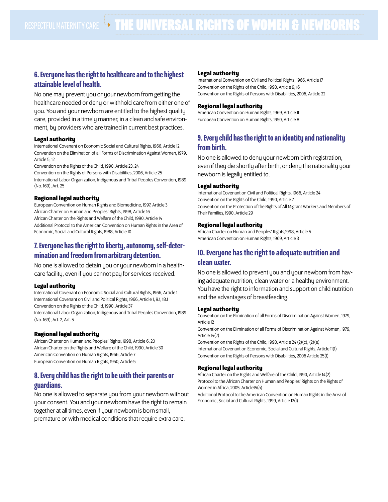# 6. Everyone has the right to healthcare and to the highest attainable level of health.

No one may prevent you or your newborn from getting the healthcare needed or deny or withhold care from either one of you. You and your newborn are entitled to the highest quality care, provided in a timely manner, in a clean and safe environment, by providers who are trained in current best practices.

## **Legal authority**

International Covenant on Economic Social and Cultural Rights, 1966, Article 12 Convention on the Elimination of all Forms of Discrimination Against Women, 1979, Article 5, 12

Convention on the Rights of the Child, 1990, Article 23, 24

Convention on the Rights of Persons with Disabilities, 2006, Article 25 International Labor Organization, Indigenous and Tribal Peoples Convention, 1989 (No. 169), Art. 25

## **Regional legal authority**

European Convention on Human Rights and Biomedicine, 1997, Article 3 African Charter on Human and Peoples' Rights, 1998, Article 16 African Charter on the Rights and Welfare of the Child, 1990, Article 14 Additional Protocol to the American Convention on Human Rights in the Area of Economic, Social and Cultural Rights, 1988, Article 10

# 7. Everyone has the right to liberty, autonomy, self-determination and freedom from arbitrary detention.

No one is allowed to detain you or your newborn in a healthcare facility, even if you cannot pay for services received.

## **Legal authority**

International Covenant on Economic Social and Cultural Rights, 1966, Article 1 International Covenant on Civil and Political Rights, 1966, Article 1, 9.1, 18.1 Convention on the Rights of the Child, 1990, Article 37 International Labor Organization, Indigenous and Tribal Peoples Convention, 1989 (No. 169), Art. 2, Art. 5

## **Regional legal authority**

African Charter on Human and Peoples' Rights, 1998, Article 6, 20 African Charter on the Rights and Welfare of the Child, 1990, Article 30 American Convention on Human Rights, 1966, Article 7 European Convention on Human Rights, 1950, Article 5

# 8. Every child has the right to be with their parents or guardians.

No one is allowed to separate you from your newborn without your consent. You and your newborn have the right to remain together at all times, even if your newborn is born small, premature or with medical conditions that require extra care.

## **Legal authority**

International Convention on Civil and Political Rights, 1966, Article 17 Convention on the Rights of the Child, 1990, Article 9, 16 Convention on the Rights of Persons with Disabilities, 2006, Article 22

## **Regional legal authority**

American Convention on Human Rights, 1969, Article 11 European Convention on Human Rights, 1950, Article 8

# 9. Every child has the right to an identity and nationality from birth.

No one is allowed to deny your newborn birth registration, even if they die shortly after birth, or deny the nationality your newborn is legally entitled to.

## **Legal authority**

International Covenant on Civil and Political Rights, 1966, Article 24 Convention on the Rights of the Child, 1990, Article 7 Convention on the Protection of the Rights of All Migrant Workers and Members of Their Families, 1990, Article 29

## **Regional legal authority**

African Charter on Human and Peoples' Rights,1998, Article 5 American Convention on Human Rights, 1969, Article 3

# 10. Everyone has the right to adequate nutrition and clean water.

No one is allowed to prevent you and your newborn from having adequate nutrition, clean water or a healthy environment. You have the right to information and support on child nutrition and the advantages of breastfeeding.

#### **Legal authority**

Convention on the Elimination of all Forms of Discrimination Against Women, 1979, Article 12

Convention on the Elimination of all Forms of Discrimination Against Women, 1979, Article 14(2)

Convention on the Rights of the Child, 1990, Article 24 (2)(c), (2)(e) International Covenant on Economic, Social and Cultural Rights, Article 11(1) Convention on the Rights of Persons with Disabilities, 2006 Article 25(1)

## **Regional legal authority**

African Charter on the Rights and Welfare of the Child, 1990, Article 14(2) Protocol to the African Charter on Human and Peoples' Rights on the Rights of Women in Africa, 2005, Article15(a)

Additional Protocol to the American Convention on Human Rights in the Area of Economic, Social and Cultural Rights, 1999, Article 12(1)